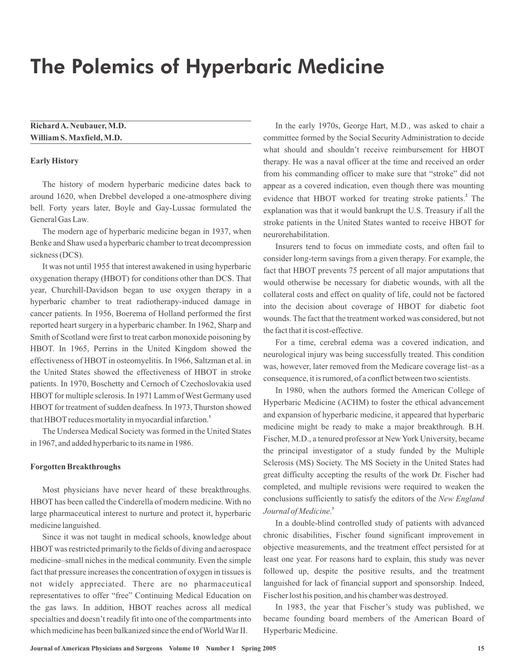# The Polemics of Hyperbaric Medicine

**RichardA. Neubauer,M.D. William S.Maxfield,M.D.**

### **Early History**

The history of modern hyperbaric medicine dates back to around 1620, when Drebbel developed a one-atmosphere diving bell. Forty years later, Boyle and Gay-Lussac formulated the General Gas Law.

The modern age of hyperbaric medicine began in 1937, when Benke and Shaw used a hyperbaric chamber to treat decompression sickness (DCS).

It was not until 1955 that interest awakened in using hyperbaric oxygenation therapy (HBOT) for conditions other than DCS. That year, Churchill-Davidson began to use oxygen therapy in a hyperbaric chamber to treat radiotherapy-induced damage in cancer patients. In 1956, Boerema of Holland performed the first reported heart surgery in a hyperbaric chamber. In 1962, Sharp and Smith of Scotland were first to treat carbon monoxide poisoning by HBOT. In 1965, Perrins in the United Kingdom showed the effectiveness of HBOT in osteomyelitis. In 1966, Saltzman et al. in the United States showed the effectiveness of HBOT in stroke patients. In 1970, Boschetty and Cernoch of Czechoslovakia used HBOT for multiple sclerosis. In 1971 Lamm of West Germany used HBOT for treatment of sudden deafness. In 1973, Thurston showed that HBOT reduces mortality in myocardial infarction. **1**

The Undersea Medical Society was formed in the United States in 1967, and added hyperbaric to its name in 1986.

#### **Forgotten Breakthroughs**

Most physicians have never heard of these breakthroughs. HBOT has been called the Cinderella of modern medicine. With no large pharmaceutical interest to nurture and protect it, hyperbaric medicine languished.

Since it was not taught in medical schools, knowledge about HBOT was restricted primarily to the fields of diving and aerospace medicine–small niches in the medical community. Even the simple fact that pressure increases the concentration of oxygen in tissues is not widely appreciated. There are no pharmaceutical representatives to offer "free" Continuing Medical Education on the gas laws. In addition, HBOT reaches across all medical specialties and doesn't readily fit into one of the compartments into which medicine has been balkanized since the end of World War II.

In the early 1970s, George Hart, M.D., was asked to chair a committee formed by the Social Security Administration to decide what should and shouldn't receive reimbursement for HBOT therapy. He was a naval officer at the time and received an order from his commanding officer to make sure that "stroke" did not appear as a covered indication, even though there was mounting evidence that HBOT worked for treating stroke patients.<sup>2</sup> The explanation was that it would bankrupt the U.S. Treasury if all the stroke patients in the United States wanted to receive HBOT for neurorehabilitation.

Insurers tend to focus on immediate costs, and often fail to consider long-term savings from a given therapy. For example, the fact that HBOT prevents 75 percent of all major amputations that would otherwise be necessary for diabetic wounds, with all the collateral costs and effect on quality of life, could not be factored into the decision about coverage of HBOT for diabetic foot wounds. The fact that the treatment worked was considered, but not the fact that it is cost-effective.

For a time, cerebral edema was a covered indication, and neurological injury was being successfully treated. This condition was, however, later removed from the Medicare coverage list–as a consequence, it is rumored, of a conflict between two scientists.

In 1980, when the authors formed the American College of Hyperbaric Medicine (ACHM) to foster the ethical advancement and expansion of hyperbaric medicine, it appeared that hyperbaric medicine might be ready to make a major breakthrough. B.H. Fischer, M.D., a tenured professor at New York University, became the principal investigator of a study funded by the Multiple Sclerosis (MS) Society. The MS Society in the United States had great difficulty accepting the results of the work Dr. Fischer had completed, and multiple revisions were required to weaken the conclusions sufficiently to satisfy the editors of the *New England* . **3** *Journal of Medicine*

In a double-blind controlled study of patients with advanced chronic disabilities, Fischer found significant improvement in objective measurements, and the treatment effect persisted for at least one year. For reasons hard to explain, this study was never followed up, despite the positive results, and the treatment languished for lack of financial support and sponsorship. Indeed, Fischer lost his position, and his chamber was destroyed.

In 1983, the year that Fischer's study was published, we became founding board members of the American Board of Hyperbaric Medicine.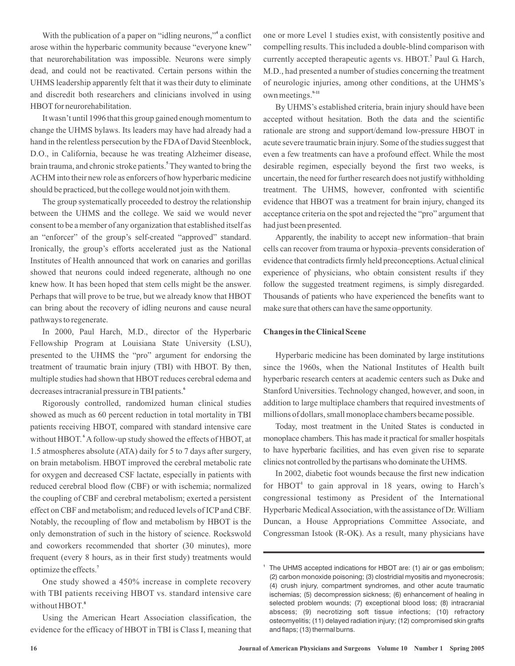With the publication of a paper on "idling neurons,"<sup>4</sup> a conflict arose within the hyperbaric community because "everyone knew" that neurorehabilitation was impossible. Neurons were simply dead, and could not be reactivated. Certain persons within the UHMS leadership apparently felt that it was their duty to eliminate and discredit both researchers and clinicians involved in using HBOT for neurorehabilitation.

It wasn't until 1996 that this group gained enough momentum to change the UHMS bylaws. Its leaders may have had already had a hand in the relentless persecution by the FDA of David Steenblock, D.O., in California, because he was treating Alzheimer disease, brain trauma, and chronic stroke patients. They wanted to bring the **5** ACHM into their new role as enforcers of how hyperbaric medicine should be practiced, but the college would not join with them.

The group systematically proceeded to destroy the relationship between the UHMS and the college. We said we would never consent to be a member of any organization that established itself as an "enforcer" of the group's self-created "approved" standard. Ironically, the group's efforts accelerated just as the National Institutes of Health announced that work on canaries and gorillas showed that neurons could indeed regenerate, although no one knew how. It has been hoped that stem cells might be the answer. Perhaps that will prove to be true, but we already know that HBOT can bring about the recovery of idling neurons and cause neural pathways to regenerate.

In 2000, Paul Harch, M.D., director of the Hyperbaric Fellowship Program at Louisiana State University (LSU), presented to the UHMS the "pro" argument for endorsing the treatment of traumatic brain injury (TBI) with HBOT. By then, multiple studies had shown that HBOT reduces cerebral edema and decreases intracranial pressure in TBI patients. **6**

Rigorously controlled, randomized human clinical studies showed as much as 60 percent reduction in total mortality in TBI patients receiving HBOT, compared with standard intensive care without HBOT.<sup>6</sup> A follow-up study showed the effects of HBOT, at 1.5 atmospheres absolute (ATA) daily for 5 to 7 days after surgery, on brain metabolism. HBOT improved the cerebral metabolic rate for oxygen and decreased CSF lactate, especially in patients with reduced cerebral blood flow (CBF) or with ischemia; normalized the coupling of CBF and cerebral metabolism; exerted a persistent effect on CBF and metabolism; and reduced levels of ICP and CBF. Notably, the recoupling of flow and metabolism by HBOT is the only demonstration of such in the history of science. Rockswold and coworkers recommended that shorter (30 minutes), more frequent (every 8 hours, as in their first study) treatments would optimize the effects. **7**

One study showed a 450% increase in complete recovery with TBI patients receiving HBOT vs. standard intensive care without HBOT. **8**

Using the American Heart Association classification, the evidence for the efficacy of HBOT in TBI is Class I, meaning that one or more Level 1 studies exist, with consistently positive and compelling results. This included a double-blind comparison with currently accepted therapeutic agents vs. HBOT.<sup>7</sup> Paul G. Harch, M.D., had presented a number of studies concerning the treatment of neurologic injuries, among other conditions, at the UHMS's own meetings. **9-11**

By UHMS's established criteria, brain injury should have been accepted without hesitation. Both the data and the scientific rationale are strong and support/demand low-pressure HBOT in acute severe traumatic brain injury. Some of the studies suggest that even a few treatments can have a profound effect. While the most desirable regimen, especially beyond the first two weeks, is uncertain, the need for further research does not justify withholding treatment. The UHMS, however, confronted with scientific evidence that HBOT was a treatment for brain injury, changed its acceptance criteria on the spot and rejected the "pro" argument that had just been presented.

Apparently, the inability to accept new information–that brain cells can recover from trauma or hypoxia–prevents consideration of evidence that contradicts firmly held preconceptions.Actual clinical experience of physicians, who obtain consistent results if they follow the suggested treatment regimens, is simply disregarded. Thousands of patients who have experienced the benefits want to make sure that others can have the same opportunity.

#### **Changes in the Clinical Scene**

Hyperbaric medicine has been dominated by large institutions since the 1960s, when the National Institutes of Health built hyperbaric research centers at academic centers such as Duke and Stanford Universities. Technology changed, however, and soon, in addition to large multiplace chambers that required investments of millions of dollars, small monoplace chambers became possible.

Today, most treatment in the United States is conducted in monoplace chambers. This has made it practical for smaller hospitals to have hyperbaric facilities, and has even given rise to separate clinics not controlled by the partisans who dominate the UHMS.

In 2002, diabetic foot wounds because the first new indication for HBOT<sup>1</sup> to gain approval in 18 years, owing to Harch's congressional testimony as President of the International Hyperbaric Medical Association, with the assistance of Dr. William Duncan, a House Appropriations Committee Associate, and Congressman Istook (R-OK). As a result, many physicians have

**<sup>1</sup>** The UHMS accepted indications for HBOT are: (1) air or gas embolism; (2) carbon monoxide poisoning; (3) clostridial myositis and myonecrosis; (4) crush injury, compartment syndromes, and other acute traumatic ischemias; (5) decompression sickness; (6) enhancement of healing in selected problem wounds; (7) exceptional blood loss; (8) intracranial abscess; (9) necrotizing soft tissue infections; (10) refractory osteomyelitis; (11) delayed radiation injury; (12) compromised skin grafts and flaps; (13) thermal burns.